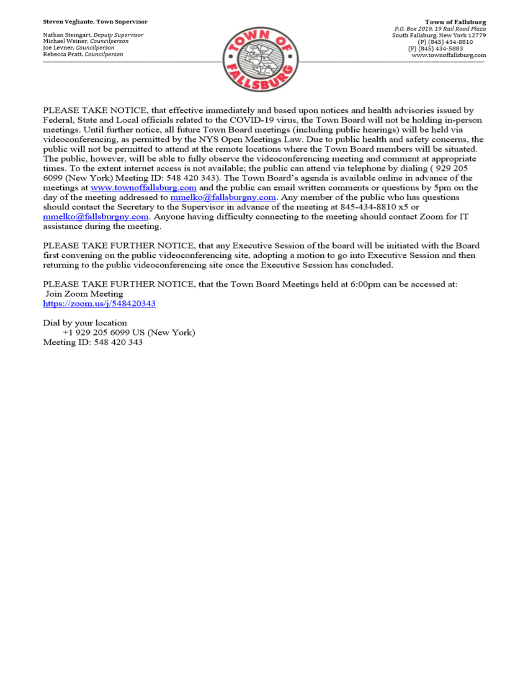Nathan Steingart, Deputy Supervisor Michael Weiner, Councilperson Joe Levner, Councilperson Rebecca Pratt, Councilperson



PLEASE TAKE NOTICE, that effective immediately and based upon notices and health advisories issued by Federal, State and Local officials related to the COVID-19 virus, the Town Board will not be holding in-person meetings. Until further notice, all future Town Board meetings (including public hearings) will be held via videoconferencing, as permitted by the NYS Open Meetings Law. Due to public health and safety concerns, the public will not be permitted to attend at the remote locations where the Town Board members will be situated. The public, however, will be able to fully observe the videoconferencing meeting and comment at appropriate times. To the extent internet access is not available; the public can attend via telephone by dialing (929 205 6099 (New York) Meeting ID: 548 420 343). The Town Board's agenda is available online in advance of the meetings at www.townoffallsburg.com and the public can email written comments or questions by 5pm on the day of the meeting addressed to  $\frac{mmelko@fallsburgny.com}{mclubluygny.com}$ . Any member of the public who has questions should contact the Secretary to the Supervisor in advance of the meeting at 845-434-8810 x5 or  $mmelko@fallsburgny.com$ . Anyone having difficulty connecting to the meeting should contact Zoom for IT assistance during the meeting.

PLEASE TAKE FURTHER NOTICE, that any Executive Session of the board will be initiated with the Board first convening on the public videoconferencing site, adopting a motion to go into Executive Session and then returning to the public videoconferencing site once the Executive Session has concluded.

PLEASE TAKE FURTHER NOTICE, that the Town Board Meetings held at 6:00pm can be accessed at: Join Zoom Meeting https://zoom.us/j/548420343

Dial by your location +1 929 205 6099 US (New York) Meeting ID: 548 420 343